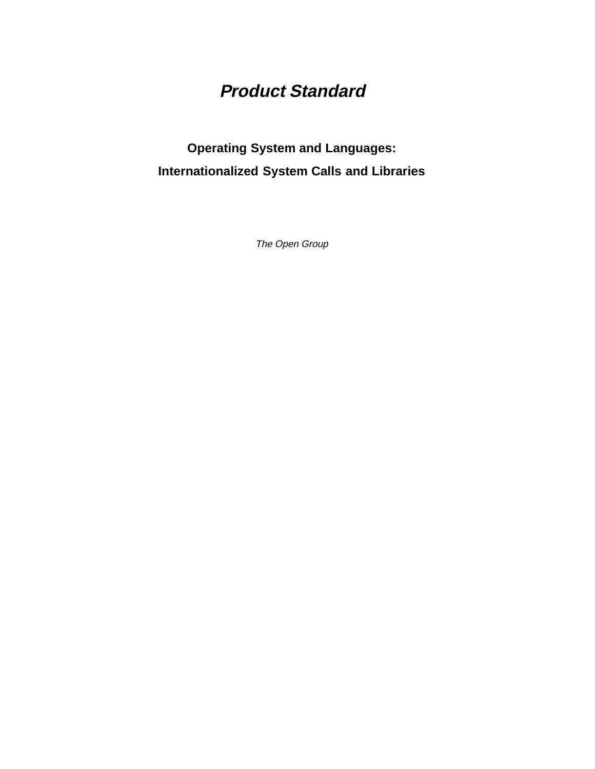# **Product Standard**

# **Operating System and Languages: Internationalized System Calls and Libraries**

The Open Group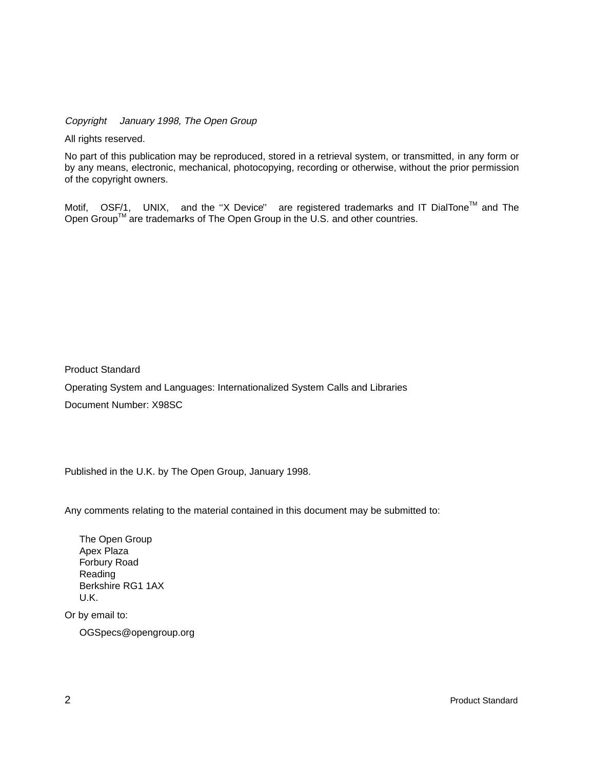Copyright  $\odot$  January 1998, The Open Group

All rights reserved.

No part of this publication may be reproduced, stored in a retrieval system, or transmitted, in any form or by any means, electronic, mechanical, photocopying, recording or otherwise, without the prior permission of the copyright owners.

Motif,  $^{\circledR}$  OSF/1,  $^{\circledR}$  UNIX,  $^{\circledR}$  and the "X Device" $^{\circledR}$  are registered trademarks and IT DialTone<sup>TM</sup> and The Open Group<sup>TM</sup> are trademarks of The Open Group in the U.S. and other countries.

Product Standard

Operating System and Languages: Internationalized System Calls and Libraries Document Number: X98SC

Published in the U.K. by The Open Group, January 1998.

Any comments relating to the material contained in this document may be submitted to:

The Open Group Apex Plaza Forbury Road Reading Berkshire RG1 1AX U.K.

Or by email to:

OGSpecs@opengroup.org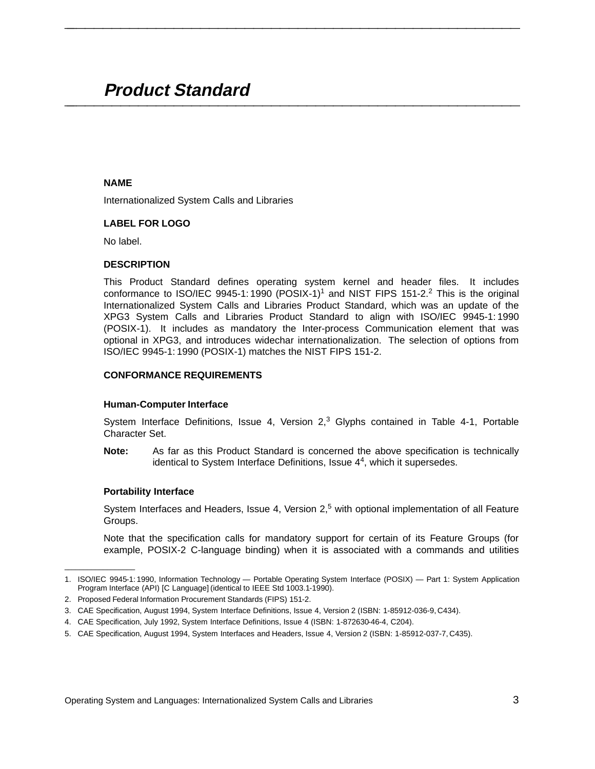# **Product Standard \_\_\_\_\_\_\_\_\_\_\_\_\_\_\_\_\_\_\_\_\_\_\_\_\_\_\_\_\_\_\_\_\_\_\_\_\_\_\_\_\_\_\_\_\_\_\_\_\_\_\_\_**

#### **NAME**

Internationalized System Calls and Libraries

## **LABEL FOR LOGO**

No label.

#### **DESCRIPTION**

This Product Standard defines operating system kernel and header files. It includes conformance to ISO/IEC 9945-1: 1990 (POSIX-1)<sup>1</sup> and NIST FIPS 151-2.<sup>2</sup> This is the original Internationalized System Calls and Libraries Product Standard, which was an update of the XPG3 System Calls and Libraries Product Standard to align with ISO/IEC 9945-1: 1990 (POSIX-1). It includes as mandatory the Inter-process Communication element that was optional in XPG3, and introduces widechar internationalization. The selection of options from ISO/IEC 9945-1: 1990 (POSIX-1) matches the NIST FIPS 151-2.

**\_\_\_\_\_\_\_\_\_\_\_\_\_\_\_\_\_\_\_\_\_\_\_\_\_\_\_\_\_\_\_\_\_\_\_\_\_\_\_\_\_\_\_\_\_\_\_\_\_\_\_\_**

#### **CONFORMANCE REQUIREMENTS**

#### **Human-Computer Interface**

System Interface Definitions, Issue 4, Version  $2<sup>3</sup>$  Glyphs contained in Table 4-1, Portable Character Set.

**Note:** As far as this Product Standard is concerned the above specification is technically identical to System Interface Definitions, Issue  $4<sup>4</sup>$ , which it supersedes.

#### **Portability Interface**

 $\mathcal{L}$  and  $\mathcal{L}$  are the set of the set of the set of the set of the set of the set of the set of the set of the set of the set of the set of the set of the set of the set of the set of the set of the set of the set

System Interfaces and Headers, Issue 4, Version  $2<sub>1</sub>5$  with optional implementation of all Feature Groups.

Note that the specification calls for mandatory support for certain of its Feature Groups (for example, POSIX-2 C-language binding) when it is associated with a commands and utilities

<sup>1.</sup> ISO/IEC 9945-1: 1990, Information Technology — Portable Operating System Interface (POSIX) — Part 1: System Application Program Interface (API) [C Language] (identical to IEEE Std 1003.1-1990).

<sup>2.</sup> Proposed Federal Information Procurement Standards (FIPS) 151-2.

<sup>3.</sup> CAE Specification, August 1994, System Interface Definitions, Issue 4, Version 2 (ISBN: 1-85912-036-9, C434).

<sup>4.</sup> CAE Specification, July 1992, System Interface Definitions, Issue 4 (ISBN: 1-872630-46-4, C204).

<sup>5.</sup> CAE Specification, August 1994, System Interfaces and Headers, Issue 4, Version 2 (ISBN: 1-85912-037-7, C435).